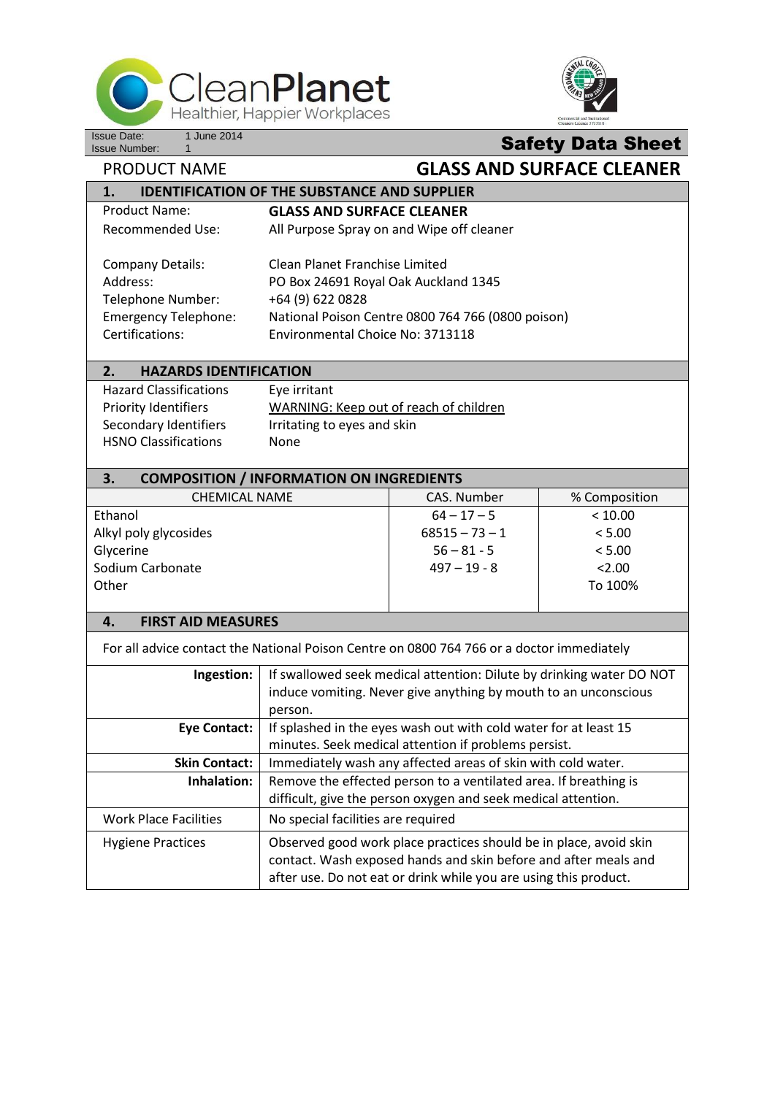



## **Safety Data Sheet**

**PRODUCT NAME GLASS AND SURFACE CLEANER** 

| <b>IDENTIFICATION OF THE SUBSTANCE AND SUPPLIER</b><br>1.                                 |                                                                      |                                                                  |               |  |
|-------------------------------------------------------------------------------------------|----------------------------------------------------------------------|------------------------------------------------------------------|---------------|--|
| <b>Product Name:</b>                                                                      | <b>GLASS AND SURFACE CLEANER</b>                                     |                                                                  |               |  |
| <b>Recommended Use:</b>                                                                   | All Purpose Spray on and Wipe off cleaner                            |                                                                  |               |  |
|                                                                                           |                                                                      |                                                                  |               |  |
| <b>Company Details:</b>                                                                   | <b>Clean Planet Franchise Limited</b>                                |                                                                  |               |  |
| Address:                                                                                  | PO Box 24691 Royal Oak Auckland 1345                                 |                                                                  |               |  |
| Telephone Number:                                                                         | +64 (9) 622 0828                                                     |                                                                  |               |  |
| <b>Emergency Telephone:</b>                                                               | National Poison Centre 0800 764 766 (0800 poison)                    |                                                                  |               |  |
| Certifications:                                                                           | Environmental Choice No: 3713118                                     |                                                                  |               |  |
| 2.<br><b>HAZARDS IDENTIFICATION</b>                                                       |                                                                      |                                                                  |               |  |
| <b>Hazard Classifications</b>                                                             | Eye irritant                                                         |                                                                  |               |  |
| <b>Priority Identifiers</b>                                                               | WARNING: Keep out of reach of children                               |                                                                  |               |  |
| Secondary Identifiers                                                                     | Irritating to eyes and skin                                          |                                                                  |               |  |
| <b>HSNO Classifications</b>                                                               | None                                                                 |                                                                  |               |  |
|                                                                                           |                                                                      |                                                                  |               |  |
| 3.<br><b>COMPOSITION / INFORMATION ON INGREDIENTS</b>                                     |                                                                      |                                                                  |               |  |
| <b>CHEMICAL NAME</b>                                                                      |                                                                      | CAS. Number                                                      | % Composition |  |
| Ethanol                                                                                   |                                                                      | $64 - 17 - 5$                                                    | < 10.00       |  |
| Alkyl poly glycosides                                                                     |                                                                      | $68515 - 73 - 1$                                                 | < 5.00        |  |
| Glycerine                                                                                 |                                                                      | $56 - 81 - 5$                                                    | < 5.00        |  |
| Sodium Carbonate                                                                          |                                                                      | $497 - 19 - 8$                                                   | 2.00          |  |
| Other                                                                                     |                                                                      |                                                                  | To 100%       |  |
|                                                                                           |                                                                      |                                                                  |               |  |
| <b>FIRST AID MEASURES</b><br>4.                                                           |                                                                      |                                                                  |               |  |
| For all advice contact the National Poison Centre on 0800 764 766 or a doctor immediately |                                                                      |                                                                  |               |  |
| Ingestion:                                                                                | If swallowed seek medical attention: Dilute by drinking water DO NOT |                                                                  |               |  |
|                                                                                           | induce vomiting. Never give anything by mouth to an unconscious      |                                                                  |               |  |
|                                                                                           | person.                                                              |                                                                  |               |  |
| <b>Eye Contact:</b>                                                                       | If splashed in the eyes wash out with cold water for at least 15     |                                                                  |               |  |
|                                                                                           | minutes. Seek medical attention if problems persist.                 |                                                                  |               |  |
| <b>Skin Contact:</b>                                                                      | Immediately wash any affected areas of skin with cold water.         |                                                                  |               |  |
| Inhalation:                                                                               | Remove the effected person to a ventilated area. If breathing is     |                                                                  |               |  |
|                                                                                           | difficult, give the person oxygen and seek medical attention.        |                                                                  |               |  |
| <b>Work Place Facilities</b>                                                              | No special facilities are required                                   |                                                                  |               |  |
| <b>Hygiene Practices</b>                                                                  | Observed good work place practices should be in place, avoid skin    |                                                                  |               |  |
|                                                                                           | contact. Wash exposed hands and skin before and after meals and      |                                                                  |               |  |
|                                                                                           |                                                                      | after use. Do not eat or drink while you are using this product. |               |  |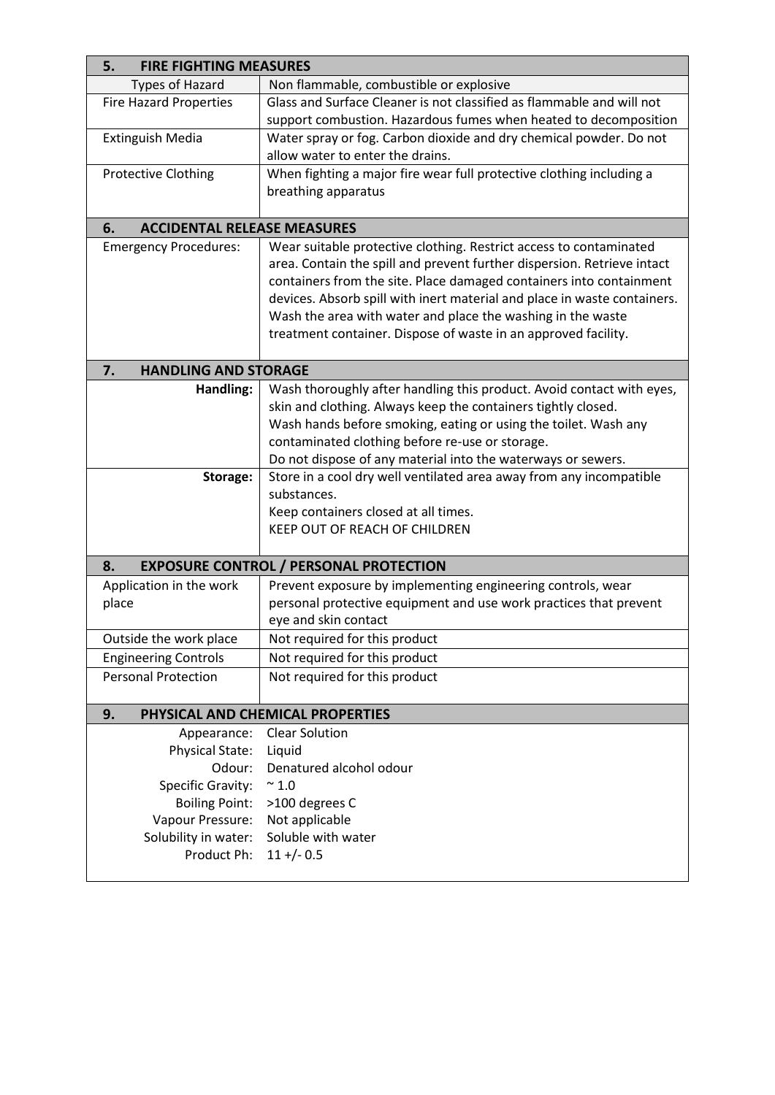| <b>FIRE FIGHTING MEASURES</b><br>5.                 |                                                                                                                                  |  |  |  |
|-----------------------------------------------------|----------------------------------------------------------------------------------------------------------------------------------|--|--|--|
| <b>Types of Hazard</b>                              | Non flammable, combustible or explosive                                                                                          |  |  |  |
| <b>Fire Hazard Properties</b>                       | Glass and Surface Cleaner is not classified as flammable and will not                                                            |  |  |  |
|                                                     | support combustion. Hazardous fumes when heated to decomposition                                                                 |  |  |  |
| <b>Extinguish Media</b>                             | Water spray or fog. Carbon dioxide and dry chemical powder. Do not                                                               |  |  |  |
|                                                     | allow water to enter the drains.                                                                                                 |  |  |  |
| <b>Protective Clothing</b>                          | When fighting a major fire wear full protective clothing including a                                                             |  |  |  |
|                                                     | breathing apparatus                                                                                                              |  |  |  |
|                                                     |                                                                                                                                  |  |  |  |
| <b>ACCIDENTAL RELEASE MEASURES</b><br>6.            |                                                                                                                                  |  |  |  |
| <b>Emergency Procedures:</b>                        | Wear suitable protective clothing. Restrict access to contaminated                                                               |  |  |  |
|                                                     | area. Contain the spill and prevent further dispersion. Retrieve intact                                                          |  |  |  |
|                                                     | containers from the site. Place damaged containers into containment                                                              |  |  |  |
|                                                     | devices. Absorb spill with inert material and place in waste containers.                                                         |  |  |  |
|                                                     | Wash the area with water and place the washing in the waste                                                                      |  |  |  |
|                                                     | treatment container. Dispose of waste in an approved facility.                                                                   |  |  |  |
|                                                     |                                                                                                                                  |  |  |  |
| <b>HANDLING AND STORAGE</b><br>7.                   |                                                                                                                                  |  |  |  |
| Handling:                                           | Wash thoroughly after handling this product. Avoid contact with eyes,                                                            |  |  |  |
|                                                     | skin and clothing. Always keep the containers tightly closed.<br>Wash hands before smoking, eating or using the toilet. Wash any |  |  |  |
|                                                     | contaminated clothing before re-use or storage.                                                                                  |  |  |  |
|                                                     | Do not dispose of any material into the waterways or sewers.                                                                     |  |  |  |
| Storage:                                            | Store in a cool dry well ventilated area away from any incompatible                                                              |  |  |  |
|                                                     | substances.                                                                                                                      |  |  |  |
|                                                     | Keep containers closed at all times.                                                                                             |  |  |  |
|                                                     | KEEP OUT OF REACH OF CHILDREN                                                                                                    |  |  |  |
|                                                     |                                                                                                                                  |  |  |  |
| <b>EXPOSURE CONTROL / PERSONAL PROTECTION</b><br>8. |                                                                                                                                  |  |  |  |
| Application in the work                             | Prevent exposure by implementing engineering controls, wear                                                                      |  |  |  |
| place                                               | personal protective equipment and use work practices that prevent                                                                |  |  |  |
|                                                     | eye and skin contact                                                                                                             |  |  |  |
| Outside the work place                              | Not required for this product                                                                                                    |  |  |  |
| <b>Engineering Controls</b>                         | Not required for this product                                                                                                    |  |  |  |
| <b>Personal Protection</b>                          | Not required for this product                                                                                                    |  |  |  |
|                                                     |                                                                                                                                  |  |  |  |
| 9.<br>PHYSICAL AND CHEMICAL PROPERTIES              |                                                                                                                                  |  |  |  |
| Appearance:                                         | <b>Clear Solution</b>                                                                                                            |  |  |  |
| Physical State:                                     | Liquid                                                                                                                           |  |  |  |
| Odour:                                              | Denatured alcohol odour                                                                                                          |  |  |  |
| <b>Specific Gravity:</b>                            | $\sim 1.0$                                                                                                                       |  |  |  |
| <b>Boiling Point:</b>                               | >100 degrees C                                                                                                                   |  |  |  |
| Vapour Pressure:                                    | Not applicable                                                                                                                   |  |  |  |
| Solubility in water:                                | Soluble with water                                                                                                               |  |  |  |
| Product Ph:                                         | $11 + (-0.5)$                                                                                                                    |  |  |  |
|                                                     |                                                                                                                                  |  |  |  |